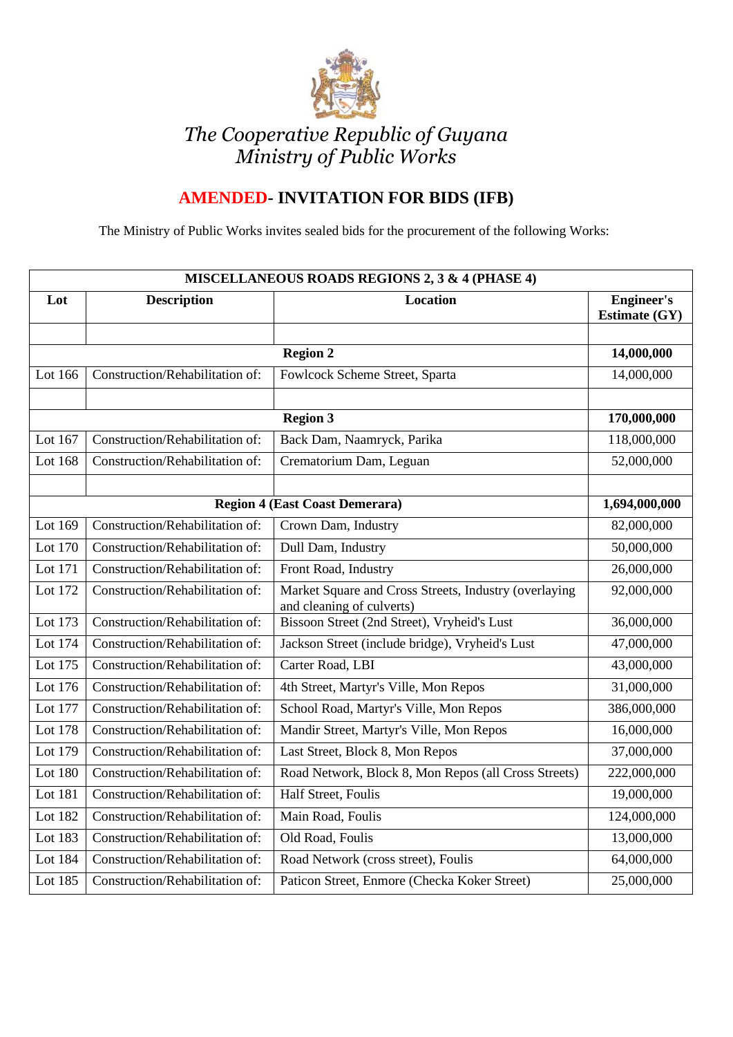

## *The Cooperative Republic of Guyana Ministry of Public Works*

## **AMENDED- INVITATION FOR BIDS (IFB)**

The Ministry of Public Works invites sealed bids for the procurement of the following Works:

| MISCELLANEOUS ROADS REGIONS 2, 3 & 4 (PHASE 4) |                                 |                                                                                    |                                           |  |  |
|------------------------------------------------|---------------------------------|------------------------------------------------------------------------------------|-------------------------------------------|--|--|
| Lot                                            | <b>Description</b>              | <b>Location</b>                                                                    | <b>Engineer's</b><br><b>Estimate (GY)</b> |  |  |
|                                                |                                 |                                                                                    |                                           |  |  |
|                                                | 14,000,000                      |                                                                                    |                                           |  |  |
| Lot 166                                        | Construction/Rehabilitation of: | Fowlcock Scheme Street, Sparta                                                     | 14,000,000                                |  |  |
|                                                |                                 |                                                                                    |                                           |  |  |
|                                                | 170,000,000                     |                                                                                    |                                           |  |  |
| Lot 167                                        | Construction/Rehabilitation of: | Back Dam, Naamryck, Parika                                                         | 118,000,000                               |  |  |
| Lot 168                                        | Construction/Rehabilitation of: | Crematorium Dam, Leguan                                                            | 52,000,000                                |  |  |
|                                                |                                 |                                                                                    |                                           |  |  |
| <b>Region 4 (East Coast Demerara)</b>          |                                 |                                                                                    | 1,694,000,000                             |  |  |
| Lot 169                                        | Construction/Rehabilitation of: | Crown Dam, Industry                                                                | 82,000,000                                |  |  |
| Lot 170                                        | Construction/Rehabilitation of: | Dull Dam, Industry                                                                 | 50,000,000                                |  |  |
| Lot 171                                        | Construction/Rehabilitation of: | Front Road, Industry                                                               | 26,000,000                                |  |  |
| Lot 172                                        | Construction/Rehabilitation of: | Market Square and Cross Streets, Industry (overlaying<br>and cleaning of culverts) | 92,000,000                                |  |  |
| Lot 173                                        | Construction/Rehabilitation of: | Bissoon Street (2nd Street), Vryheid's Lust                                        | 36,000,000                                |  |  |
| Lot 174                                        | Construction/Rehabilitation of: | Jackson Street (include bridge), Vryheid's Lust                                    | 47,000,000                                |  |  |
| Lot 175                                        | Construction/Rehabilitation of: | Carter Road, LBI                                                                   | 43,000,000                                |  |  |
| Lot 176                                        | Construction/Rehabilitation of: | 4th Street, Martyr's Ville, Mon Repos                                              | 31,000,000                                |  |  |
| Lot 177                                        | Construction/Rehabilitation of: | School Road, Martyr's Ville, Mon Repos                                             | 386,000,000                               |  |  |
| Lot 178                                        | Construction/Rehabilitation of: | Mandir Street, Martyr's Ville, Mon Repos                                           | 16,000,000                                |  |  |
| Lot 179                                        | Construction/Rehabilitation of: | Last Street, Block 8, Mon Repos                                                    | 37,000,000                                |  |  |
| Lot 180                                        | Construction/Rehabilitation of: | Road Network, Block 8, Mon Repos (all Cross Streets)                               | 222,000,000                               |  |  |
| Lot 181                                        | Construction/Rehabilitation of: | Half Street, Foulis                                                                | 19,000,000                                |  |  |
| Lot 182                                        | Construction/Rehabilitation of: | Main Road, Foulis                                                                  | 124,000,000                               |  |  |
| Lot 183                                        | Construction/Rehabilitation of: | Old Road, Foulis                                                                   | 13,000,000                                |  |  |
| Lot 184                                        | Construction/Rehabilitation of: | Road Network (cross street), Foulis                                                | 64,000,000                                |  |  |
| Lot $18\overline{5}$                           | Construction/Rehabilitation of: | Paticon Street, Enmore (Checka Koker Street)                                       | 25,000,000                                |  |  |